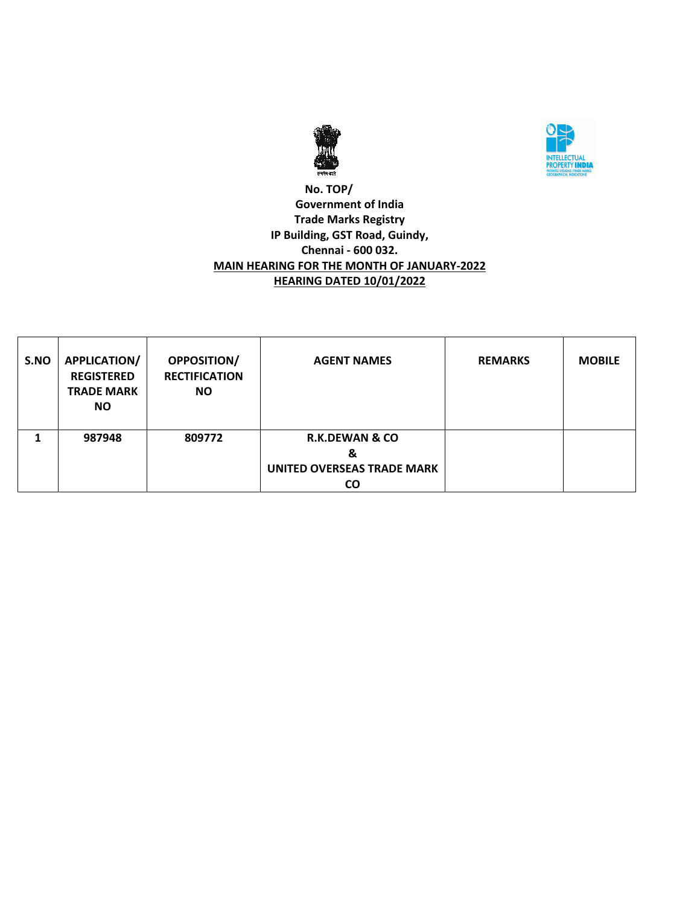



### **No. TOP/ Government of India Trade Marks Registry IP Building, GST Road, Guindy, Chennai - 600 032. MAIN HEARING FOR THE MONTH OF JANUARY-2022 HEARING DATED 10/01/2022**

| S.NO | APPLICATION/<br><b>REGISTERED</b><br><b>TRADE MARK</b><br>NO. | <b>OPPOSITION/</b><br><b>RECTIFICATION</b><br><b>NO</b> | <b>AGENT NAMES</b>                                                 | <b>REMARKS</b> | <b>MOBILE</b> |
|------|---------------------------------------------------------------|---------------------------------------------------------|--------------------------------------------------------------------|----------------|---------------|
|      | 987948                                                        | 809772                                                  | <b>R.K.DEWAN &amp; CO</b><br>&<br>UNITED OVERSEAS TRADE MARK<br>CO |                |               |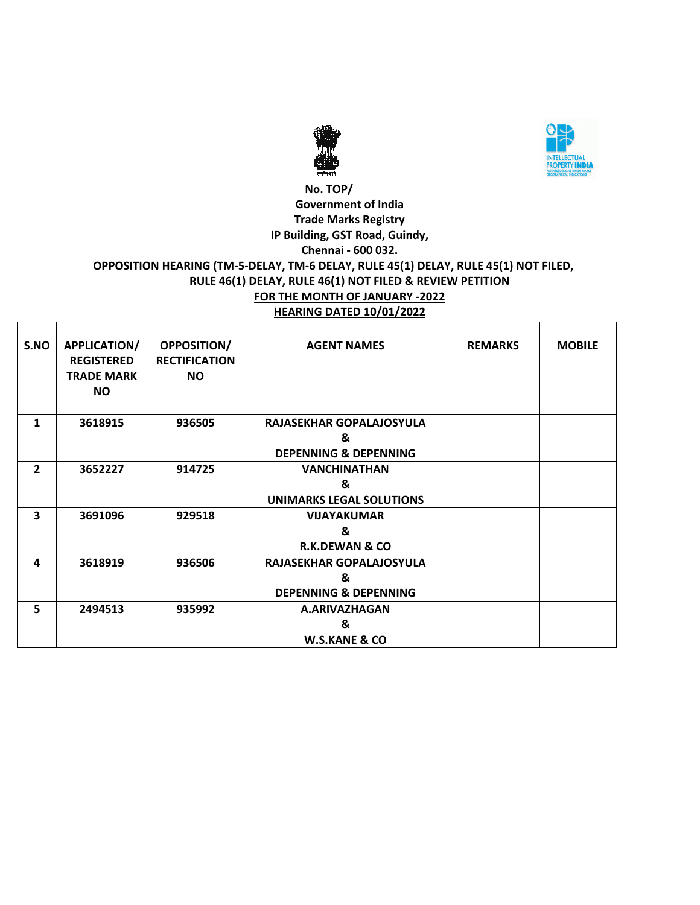



#### **No. TOP/ Government of India Trade Marks Registry IP Building, GST Road, Guindy, Chennai - 600 032.**

### **OPPOSITION HEARING (TM-5-DELAY, TM-6 DELAY, RULE 45(1) DELAY, RULE 45(1) NOT FILED, RULE 46(1) DELAY, RULE 46(1) NOT FILED & REVIEW PETITION FOR THE MONTH OF JANUARY -2022 HEARING DATED 10/01/2022**

| S.NO           | APPLICATION/<br><b>REGISTERED</b><br><b>TRADE MARK</b><br><b>NO</b> | OPPOSITION/<br><b>RECTIFICATION</b><br><b>NO</b> | <b>AGENT NAMES</b>               | <b>REMARKS</b> | <b>MOBILE</b> |
|----------------|---------------------------------------------------------------------|--------------------------------------------------|----------------------------------|----------------|---------------|
| 1              | 3618915                                                             | 936505                                           | RAJASEKHAR GOPALAJOSYULA         |                |               |
|                |                                                                     |                                                  | &                                |                |               |
|                |                                                                     |                                                  | <b>DEPENNING &amp; DEPENNING</b> |                |               |
| $\overline{2}$ | 3652227                                                             | 914725                                           | <b>VANCHINATHAN</b>              |                |               |
|                |                                                                     |                                                  | &                                |                |               |
|                |                                                                     |                                                  | <b>UNIMARKS LEGAL SOLUTIONS</b>  |                |               |
| 3              | 3691096                                                             | 929518                                           | <b>VIJAYAKUMAR</b>               |                |               |
|                |                                                                     |                                                  | &                                |                |               |
|                |                                                                     |                                                  | <b>R.K.DEWAN &amp; CO</b>        |                |               |
| 4              | 3618919                                                             | 936506                                           | RAJASEKHAR GOPALAJOSYULA         |                |               |
|                |                                                                     |                                                  | &                                |                |               |
|                |                                                                     |                                                  | <b>DEPENNING &amp; DEPENNING</b> |                |               |
| 5              | 2494513                                                             | 935992                                           | A.ARIVAZHAGAN                    |                |               |
|                |                                                                     |                                                  | &                                |                |               |
|                |                                                                     |                                                  | <b>W.S.KANE &amp; CO</b>         |                |               |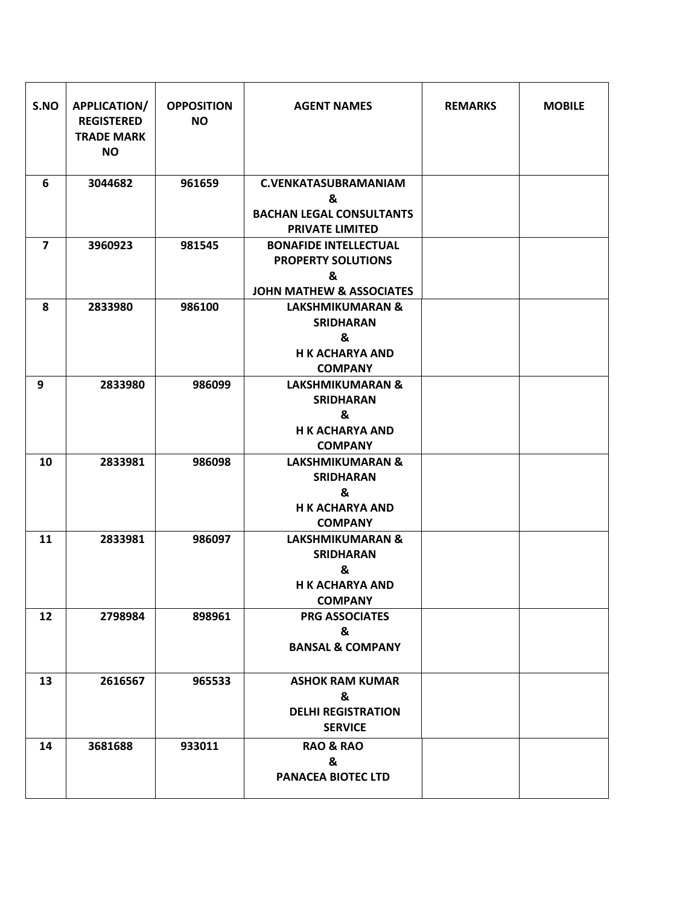| S.NO           | <b>APPLICATION/</b><br><b>REGISTERED</b><br><b>TRADE MARK</b><br><b>NO</b> | <b>OPPOSITION</b><br><b>NO</b> | <b>AGENT NAMES</b>                                                                                    | <b>REMARKS</b> | <b>MOBILE</b> |
|----------------|----------------------------------------------------------------------------|--------------------------------|-------------------------------------------------------------------------------------------------------|----------------|---------------|
| 6              | 3044682                                                                    | 961659                         | <b>C.VENKATASUBRAMANIAM</b><br>&<br><b>BACHAN LEGAL CONSULTANTS</b><br><b>PRIVATE LIMITED</b>         |                |               |
| $\overline{7}$ | 3960923                                                                    | 981545                         | <b>BONAFIDE INTELLECTUAL</b><br><b>PROPERTY SOLUTIONS</b><br>&<br><b>JOHN MATHEW &amp; ASSOCIATES</b> |                |               |
| 8              | 2833980                                                                    | 986100                         | <b>LAKSHMIKUMARAN &amp;</b><br><b>SRIDHARAN</b><br>&<br><b>H K ACHARYA AND</b><br><b>COMPANY</b>      |                |               |
| 9              | 2833980                                                                    | 986099                         | <b>LAKSHMIKUMARAN &amp;</b><br><b>SRIDHARAN</b><br>&<br><b>H K ACHARYA AND</b><br><b>COMPANY</b>      |                |               |
| 10             | 2833981                                                                    | 986098                         | <b>LAKSHMIKUMARAN &amp;</b><br><b>SRIDHARAN</b><br>&<br><b>H K ACHARYA AND</b><br><b>COMPANY</b>      |                |               |
| 11             | 2833981                                                                    | 986097                         | <b>LAKSHMIKUMARAN &amp;</b><br><b>SRIDHARAN</b><br>&<br><b>H K ACHARYA AND</b><br><b>COMPANY</b>      |                |               |
| 12             | 2798984                                                                    | 898961                         | <b>PRG ASSOCIATES</b><br>&<br><b>BANSAL &amp; COMPANY</b>                                             |                |               |
| 13             | 2616567                                                                    | 965533                         | <b>ASHOK RAM KUMAR</b><br>&<br><b>DELHI REGISTRATION</b><br><b>SERVICE</b>                            |                |               |
| 14             | 3681688                                                                    | 933011                         | <b>RAO &amp; RAO</b><br>&<br><b>PANACEA BIOTEC LTD</b>                                                |                |               |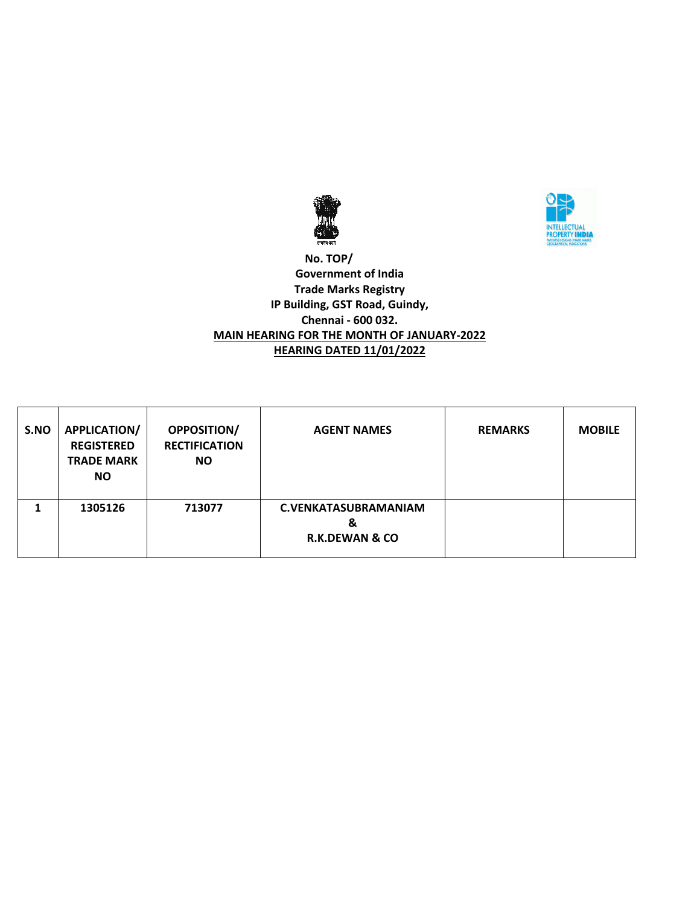



### **No. TOP/ Government of India Trade Marks Registry IP Building, GST Road, Guindy, Chennai - 600 032. MAIN HEARING FOR THE MONTH OF JANUARY-2022 HEARING DATED 11/01/2022**

| S.NO | <b>APPLICATION/</b><br><b>REGISTERED</b><br><b>TRADE MARK</b><br><b>NO</b> | <b>OPPOSITION/</b><br><b>RECTIFICATION</b><br><b>NO</b> | <b>AGENT NAMES</b>                                            | <b>REMARKS</b> | <b>MOBILE</b> |
|------|----------------------------------------------------------------------------|---------------------------------------------------------|---------------------------------------------------------------|----------------|---------------|
|      | 1305126                                                                    | 713077                                                  | <b>C.VENKATASUBRAMANIAM</b><br>&<br><b>R.K.DEWAN &amp; CO</b> |                |               |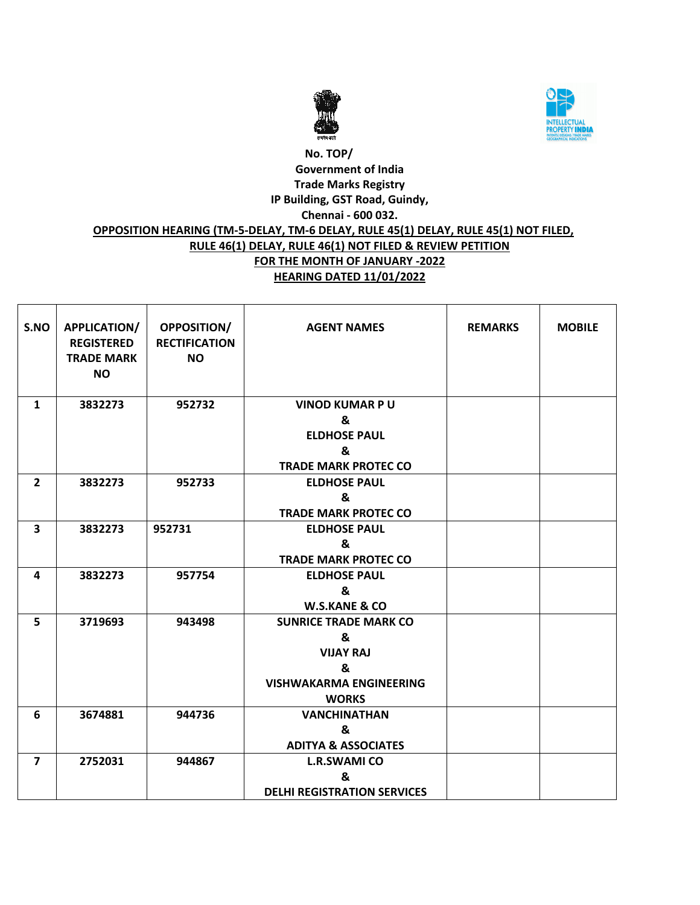



# **No. TOP/ Government of India Trade Marks Registry IP Building, GST Road, Guindy, Chennai - 600 032. OPPOSITION HEARING (TM-5-DELAY, TM-6 DELAY, RULE 45(1) DELAY, RULE 45(1) NOT FILED, RULE 46(1) DELAY, RULE 46(1) NOT FILED & REVIEW PETITION FOR THE MONTH OF JANUARY -2022 HEARING DATED 11/01/2022**

| S.NO                    | APPLICATION/<br><b>REGISTERED</b><br><b>TRADE MARK</b><br><b>NO</b> | <b>OPPOSITION/</b><br><b>RECTIFICATION</b><br><b>NO</b> | <b>AGENT NAMES</b>                 | <b>REMARKS</b> | <b>MOBILE</b> |
|-------------------------|---------------------------------------------------------------------|---------------------------------------------------------|------------------------------------|----------------|---------------|
| $\mathbf{1}$            | 3832273                                                             | 952732                                                  | <b>VINOD KUMAR PU</b>              |                |               |
|                         |                                                                     |                                                         | &                                  |                |               |
|                         |                                                                     |                                                         | <b>ELDHOSE PAUL</b>                |                |               |
|                         |                                                                     |                                                         | &                                  |                |               |
|                         |                                                                     |                                                         | <b>TRADE MARK PROTEC CO</b>        |                |               |
| $\overline{2}$          | 3832273                                                             | 952733                                                  | <b>ELDHOSE PAUL</b>                |                |               |
|                         |                                                                     |                                                         | &                                  |                |               |
|                         |                                                                     |                                                         | <b>TRADE MARK PROTEC CO</b>        |                |               |
| $\overline{\mathbf{3}}$ | 3832273                                                             | 952731                                                  | <b>ELDHOSE PAUL</b>                |                |               |
|                         |                                                                     |                                                         | &<br><b>TRADE MARK PROTEC CO</b>   |                |               |
|                         |                                                                     |                                                         |                                    |                |               |
| 4                       | 3832273                                                             | 957754                                                  | <b>ELDHOSE PAUL</b><br>&           |                |               |
|                         |                                                                     |                                                         | <b>W.S.KANE &amp; CO</b>           |                |               |
| 5                       | 3719693                                                             | 943498                                                  | <b>SUNRICE TRADE MARK CO</b>       |                |               |
|                         |                                                                     |                                                         | &                                  |                |               |
|                         |                                                                     |                                                         | <b>VIJAY RAJ</b>                   |                |               |
|                         |                                                                     |                                                         | &                                  |                |               |
|                         |                                                                     |                                                         | <b>VISHWAKARMA ENGINEERING</b>     |                |               |
|                         |                                                                     |                                                         | <b>WORKS</b>                       |                |               |
| 6                       | 3674881                                                             | 944736                                                  | <b>VANCHINATHAN</b>                |                |               |
|                         |                                                                     |                                                         | &                                  |                |               |
|                         |                                                                     |                                                         | <b>ADITYA &amp; ASSOCIATES</b>     |                |               |
| $\overline{\mathbf{z}}$ | 2752031                                                             | 944867                                                  | <b>L.R.SWAMI CO</b>                |                |               |
|                         |                                                                     |                                                         | &                                  |                |               |
|                         |                                                                     |                                                         | <b>DELHI REGISTRATION SERVICES</b> |                |               |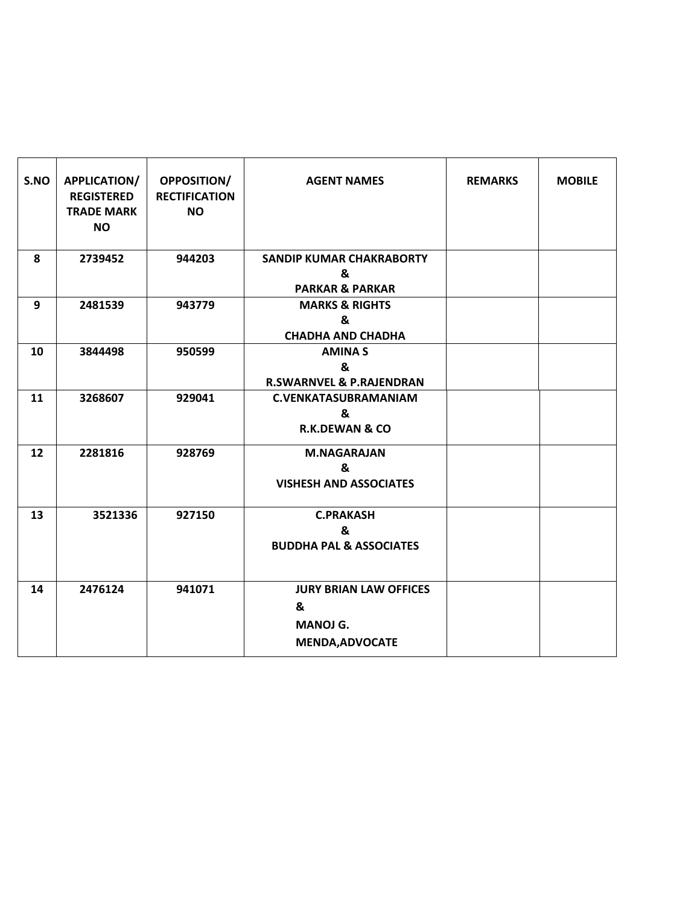| S.NO | APPLICATION/<br><b>REGISTERED</b><br><b>TRADE MARK</b><br><b>NO</b> | <b>OPPOSITION/</b><br><b>RECTIFICATION</b><br><b>NO</b> | <b>AGENT NAMES</b>                                                              | <b>REMARKS</b> | <b>MOBILE</b> |
|------|---------------------------------------------------------------------|---------------------------------------------------------|---------------------------------------------------------------------------------|----------------|---------------|
| 8    | 2739452                                                             | 944203                                                  | <b>SANDIP KUMAR CHAKRABORTY</b><br>&<br><b>PARKAR &amp; PARKAR</b>              |                |               |
| 9    | 2481539                                                             | 943779                                                  | <b>MARKS &amp; RIGHTS</b><br>&<br><b>CHADHA AND CHADHA</b>                      |                |               |
| 10   | 3844498                                                             | 950599                                                  | <b>AMINAS</b><br>&<br><b>R.SWARNVEL &amp; P.RAJENDRAN</b>                       |                |               |
| 11   | 3268607                                                             | 929041                                                  | <b>C.VENKATASUBRAMANIAM</b><br>&<br><b>R.K.DEWAN &amp; CO</b>                   |                |               |
| 12   | 2281816                                                             | 928769                                                  | <b>M.NAGARAJAN</b><br>&<br><b>VISHESH AND ASSOCIATES</b>                        |                |               |
| 13   | 3521336                                                             | 927150                                                  | <b>C.PRAKASH</b><br>&<br><b>BUDDHA PAL &amp; ASSOCIATES</b>                     |                |               |
| 14   | 2476124                                                             | 941071                                                  | <b>JURY BRIAN LAW OFFICES</b><br>&<br><b>MANOJ G.</b><br><b>MENDA, ADVOCATE</b> |                |               |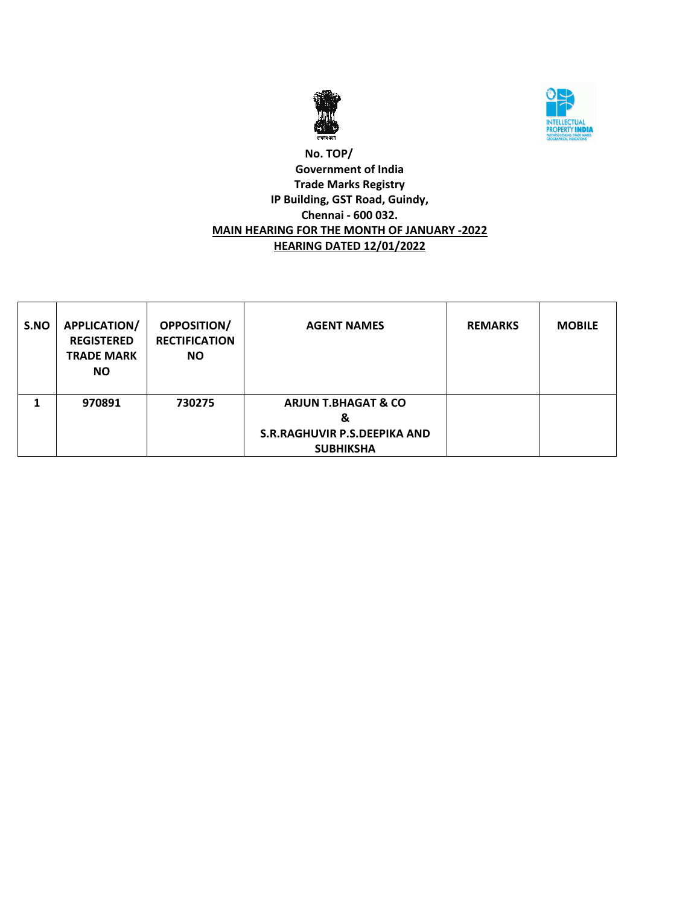



### **No. TOP/ Government of India Trade Marks Registry IP Building, GST Road, Guindy, Chennai - 600 032. MAIN HEARING FOR THE MONTH OF JANUARY -2022 HEARING DATED 12/01/2022**

| S.NO | <b>APPLICATION/</b><br><b>REGISTERED</b><br><b>TRADE MARK</b><br><b>NO</b> | <b>OPPOSITION/</b><br><b>RECTIFICATION</b><br><b>NO</b> | <b>AGENT NAMES</b>                                                                      | <b>REMARKS</b> | <b>MOBILE</b> |
|------|----------------------------------------------------------------------------|---------------------------------------------------------|-----------------------------------------------------------------------------------------|----------------|---------------|
|      | 970891                                                                     | 730275                                                  | <b>ARJUN T.BHAGAT &amp; CO</b><br>&<br>S.R.RAGHUVIR P.S.DEEPIKA AND<br><b>SUBHIKSHA</b> |                |               |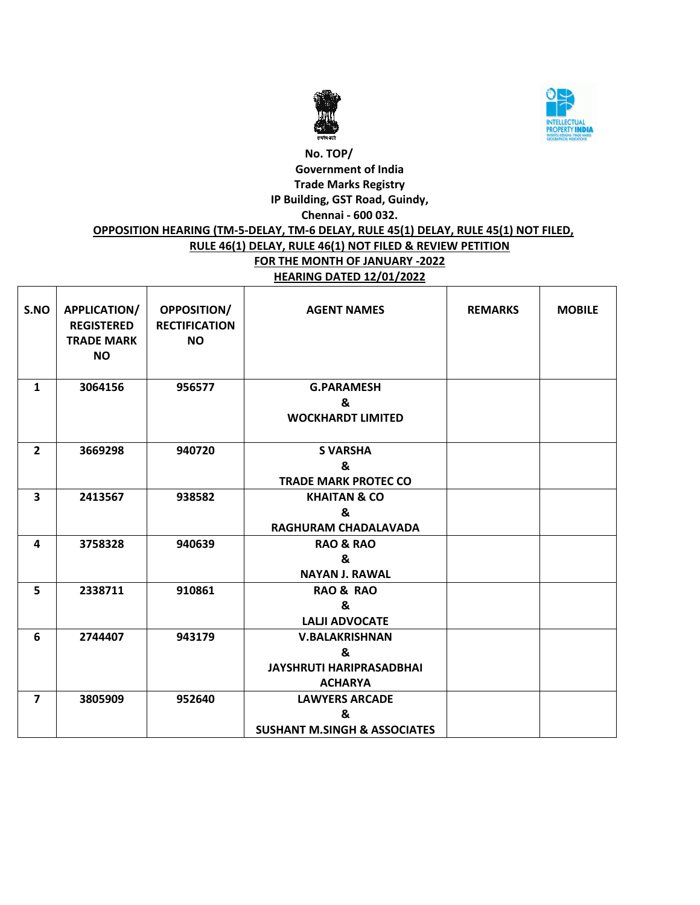



### **No. TOP/ Government of India Trade Marks Registry IP Building, GST Road, Guindy, Chennai - 600 032. OPPOSITION HEARING (TM-5-DELAY, TM-6 DELAY, RULE 45(1) DELAY, RULE 45(1) NOT FILED, RULE 46(1) DELAY, RULE 46(1) NOT FILED & REVIEW PETITION FOR THE MONTH OF JANUARY -2022**

# **HEARING DATED 12/01/2022**

| S.NO                    | APPLICATION/<br><b>REGISTERED</b><br><b>TRADE MARK</b><br><b>NO</b> | OPPOSITION/<br><b>RECTIFICATION</b><br><b>NO</b> | <b>AGENT NAMES</b>                                                              | <b>REMARKS</b> | <b>MOBILE</b> |
|-------------------------|---------------------------------------------------------------------|--------------------------------------------------|---------------------------------------------------------------------------------|----------------|---------------|
| $\mathbf{1}$            | 3064156                                                             | 956577                                           | <b>G.PARAMESH</b><br>&<br><b>WOCKHARDT LIMITED</b>                              |                |               |
| $\overline{2}$          | 3669298                                                             | 940720                                           | <b>S VARSHA</b><br>&<br><b>TRADE MARK PROTEC CO</b>                             |                |               |
| 3                       | 2413567                                                             | 938582                                           | <b>KHAITAN &amp; CO</b><br>&<br>RAGHURAM CHADALAVADA                            |                |               |
| 4                       | 3758328                                                             | 940639                                           | <b>RAO &amp; RAO</b><br>&<br><b>NAYAN J. RAWAL</b>                              |                |               |
| 5                       | 2338711                                                             | 910861                                           | <b>RAO &amp; RAO</b><br>&<br><b>LALJI ADVOCATE</b>                              |                |               |
| 6                       | 2744407                                                             | 943179                                           | <b>V.BALAKRISHNAN</b><br>&<br><b>JAYSHRUTI HARIPRASADBHAI</b><br><b>ACHARYA</b> |                |               |
| $\overline{\mathbf{z}}$ | 3805909                                                             | 952640                                           | <b>LAWYERS ARCADE</b><br>&<br><b>SUSHANT M.SINGH &amp; ASSOCIATES</b>           |                |               |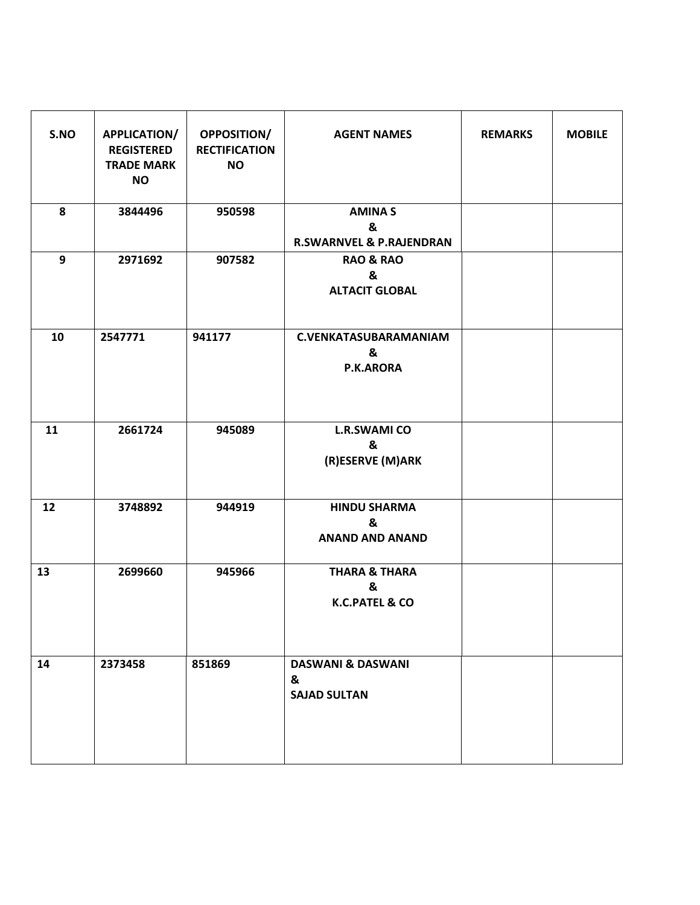| S.NO | APPLICATION/<br><b>REGISTERED</b><br><b>TRADE MARK</b><br><b>NO</b> | <b>OPPOSITION/</b><br><b>RECTIFICATION</b><br><b>NO</b> | <b>AGENT NAMES</b>                                         | <b>REMARKS</b> | <b>MOBILE</b> |
|------|---------------------------------------------------------------------|---------------------------------------------------------|------------------------------------------------------------|----------------|---------------|
| 8    | 3844496                                                             | 950598                                                  | <b>AMINAS</b><br>&<br><b>R.SWARNVEL &amp; P.RAJENDRAN</b>  |                |               |
| 9    | 2971692                                                             | 907582                                                  | <b>RAO &amp; RAO</b><br>&<br><b>ALTACIT GLOBAL</b>         |                |               |
| 10   | 2547771                                                             | 941177                                                  | <b>C.VENKATASUBARAMANIAM</b><br>&<br>P.K.ARORA             |                |               |
| 11   | 2661724                                                             | 945089                                                  | <b>L.R.SWAMI CO</b><br>&<br>(R)ESERVE (M)ARK               |                |               |
| 12   | 3748892                                                             | 944919                                                  | <b>HINDU SHARMA</b><br>&<br><b>ANAND AND ANAND</b>         |                |               |
| 13   | 2699660                                                             | 945966                                                  | <b>THARA &amp; THARA</b><br>&<br><b>K.C.PATEL &amp; CO</b> |                |               |
| 14   | 2373458                                                             | 851869                                                  | <b>DASWANI &amp; DASWANI</b><br>&<br><b>SAJAD SULTAN</b>   |                |               |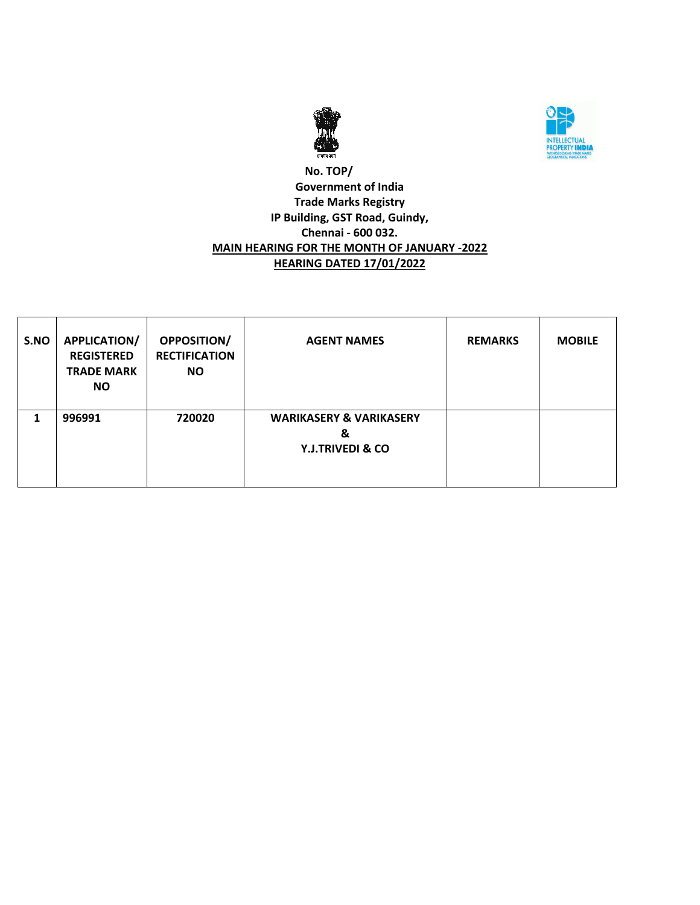



### **No. TOP/ Government of India Trade Marks Registry IP Building, GST Road, Guindy, Chennai - 600 032. MAIN HEARING FOR THE MONTH OF JANUARY -2022 HEARING DATED 17/01/2022**

| S.NO | <b>APPLICATION/</b><br><b>REGISTERED</b><br><b>TRADE MARK</b><br><b>NO</b> | <b>OPPOSITION/</b><br><b>RECTIFICATION</b><br>NO. | <b>AGENT NAMES</b>                                                     | <b>REMARKS</b> | <b>MOBILE</b> |
|------|----------------------------------------------------------------------------|---------------------------------------------------|------------------------------------------------------------------------|----------------|---------------|
|      | 996991                                                                     | 720020                                            | <b>WARIKASERY &amp; VARIKASERY</b><br>&<br><b>Y.J.TRIVEDI &amp; CO</b> |                |               |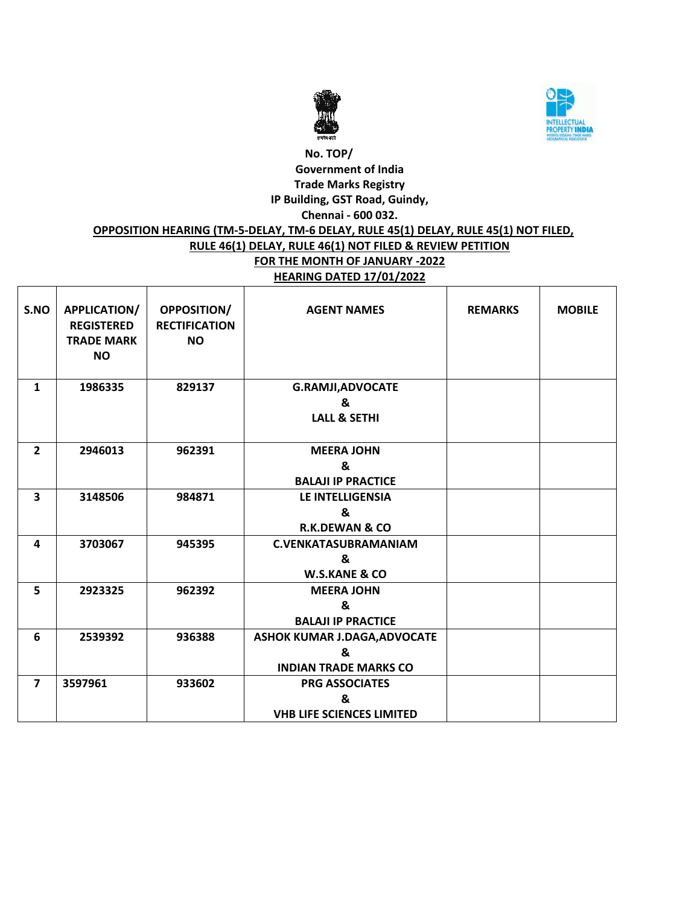



### **No. TOP/ Government of India Trade Marks Registry IP Building, GST Road, Guindy, Chennai - 600 032. OPPOSITION HEARING (TM-5-DELAY, TM-6 DELAY, RULE 45(1) DELAY, RULE 45(1) NOT FILED, RULE 46(1) DELAY, RULE 46(1) NOT FILED & REVIEW PETITION FOR THE MONTH OF JANUARY -2022**

# **HEARING DATED 17/01/2022**

| S.NO                    | <b>APPLICATION/</b><br><b>REGISTERED</b><br><b>TRADE MARK</b><br><b>NO</b> | OPPOSITION/<br><b>RECTIFICATION</b><br><b>NO</b> | <b>AGENT NAMES</b>               | <b>REMARKS</b> | <b>MOBILE</b> |
|-------------------------|----------------------------------------------------------------------------|--------------------------------------------------|----------------------------------|----------------|---------------|
| $\mathbf{1}$            | 1986335                                                                    | 829137                                           | <b>G.RAMJI, ADVOCATE</b>         |                |               |
|                         |                                                                            |                                                  | &                                |                |               |
|                         |                                                                            |                                                  | <b>LALL &amp; SETHI</b>          |                |               |
| $\overline{2}$          | 2946013                                                                    | 962391                                           | <b>MEERA JOHN</b>                |                |               |
|                         |                                                                            |                                                  | &                                |                |               |
|                         |                                                                            |                                                  | <b>BALAJI IP PRACTICE</b>        |                |               |
| $\overline{\mathbf{3}}$ | 3148506                                                                    | 984871                                           | <b>LE INTELLIGENSIA</b>          |                |               |
|                         |                                                                            |                                                  | &                                |                |               |
|                         |                                                                            |                                                  | <b>R.K.DEWAN &amp; CO</b>        |                |               |
| 4                       | 3703067                                                                    | 945395                                           | <b>C.VENKATASUBRAMANIAM</b>      |                |               |
|                         |                                                                            |                                                  | &                                |                |               |
|                         |                                                                            |                                                  | <b>W.S.KANE &amp; CO</b>         |                |               |
| 5                       | 2923325                                                                    | 962392                                           | <b>MEERA JOHN</b>                |                |               |
|                         |                                                                            |                                                  | &                                |                |               |
|                         |                                                                            |                                                  | <b>BALAJI IP PRACTICE</b>        |                |               |
| 6                       | 2539392                                                                    | 936388                                           | ASHOK KUMAR J.DAGA, ADVOCATE     |                |               |
|                         |                                                                            |                                                  | &                                |                |               |
|                         |                                                                            |                                                  | <b>INDIAN TRADE MARKS CO</b>     |                |               |
| $\overline{7}$          | 3597961                                                                    | 933602                                           | <b>PRG ASSOCIATES</b>            |                |               |
|                         |                                                                            |                                                  | &                                |                |               |
|                         |                                                                            |                                                  | <b>VHB LIFE SCIENCES LIMITED</b> |                |               |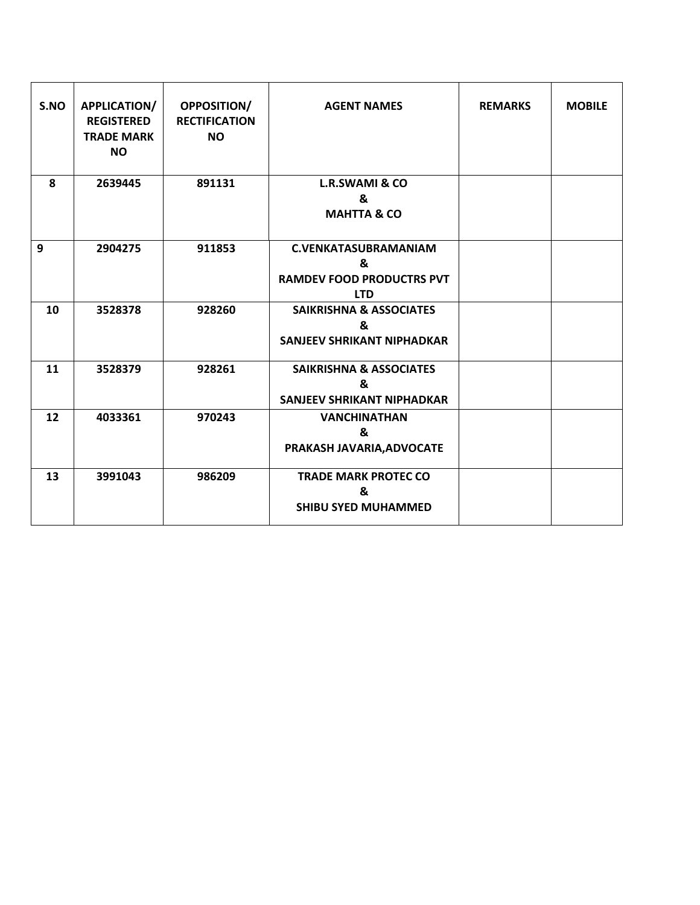| S.NO | APPLICATION/<br><b>REGISTERED</b><br><b>TRADE MARK</b><br><b>NO</b> | <b>OPPOSITION/</b><br><b>RECTIFICATION</b><br><b>NO</b> | <b>AGENT NAMES</b>                                                                 | <b>REMARKS</b> | <b>MOBILE</b> |
|------|---------------------------------------------------------------------|---------------------------------------------------------|------------------------------------------------------------------------------------|----------------|---------------|
| 8    | 2639445                                                             | 891131                                                  | <b>L.R.SWAMI &amp; CO</b><br>&<br><b>MAHTTA &amp; CO</b>                           |                |               |
| 9    | 2904275                                                             | 911853                                                  | <b>C.VENKATASUBRAMANIAM</b><br>&<br><b>RAMDEV FOOD PRODUCTRS PVT</b><br><b>LTD</b> |                |               |
| 10   | 3528378                                                             | 928260                                                  | <b>SAIKRISHNA &amp; ASSOCIATES</b><br>&<br><b>SANJEEV SHRIKANT NIPHADKAR</b>       |                |               |
| 11   | 3528379                                                             | 928261                                                  | <b>SAIKRISHNA &amp; ASSOCIATES</b><br>&<br><b>SANJEEV SHRIKANT NIPHADKAR</b>       |                |               |
| 12   | 4033361                                                             | 970243                                                  | <b>VANCHINATHAN</b><br>&<br>PRAKASH JAVARIA, ADVOCATE                              |                |               |
| 13   | 3991043                                                             | 986209                                                  | <b>TRADE MARK PROTEC CO</b><br>&<br><b>SHIBU SYED MUHAMMED</b>                     |                |               |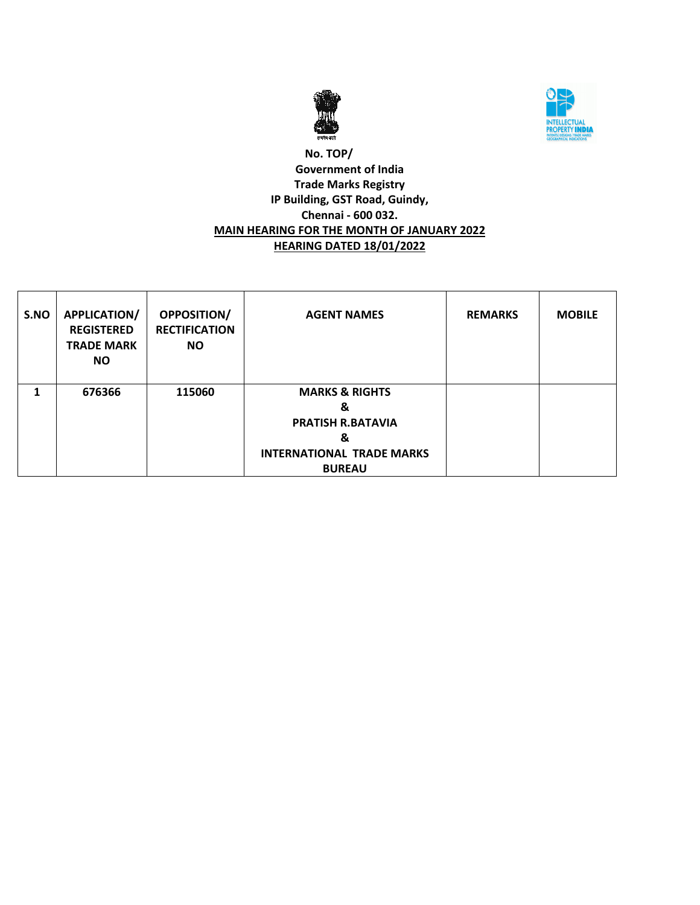



### **No. TOP/ Government of India Trade Marks Registry IP Building, GST Road, Guindy, Chennai - 600 032. MAIN HEARING FOR THE MONTH OF JANUARY 2022 HEARING DATED 18/01/2022**

| S.NO | <b>APPLICATION/</b><br><b>REGISTERED</b><br><b>TRADE MARK</b><br><b>NO</b> | <b>OPPOSITION/</b><br><b>RECTIFICATION</b><br><b>NO</b> | <b>AGENT NAMES</b>                                              | <b>REMARKS</b> | <b>MOBILE</b> |
|------|----------------------------------------------------------------------------|---------------------------------------------------------|-----------------------------------------------------------------|----------------|---------------|
| 1    | 676366                                                                     | 115060                                                  | <b>MARKS &amp; RIGHTS</b><br>&<br><b>PRATISH R.BATAVIA</b><br>& |                |               |
|      |                                                                            |                                                         | <b>INTERNATIONAL TRADE MARKS</b><br><b>BUREAU</b>               |                |               |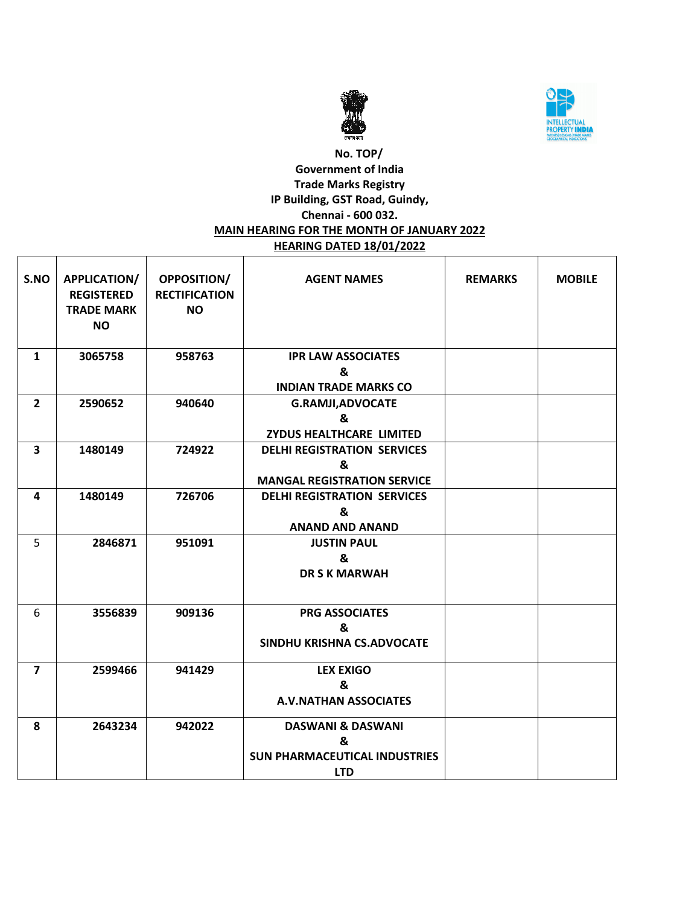



### **No. TOP/ Government of India Trade Marks Registry IP Building, GST Road, Guindy, Chennai - 600 032. MAIN HEARING FOR THE MONTH OF JANUARY 2022 HEARING DATED 18/01/2022**

| S.NO           | APPLICATION/<br><b>REGISTERED</b><br><b>TRADE MARK</b><br><b>NO</b> | <b>OPPOSITION/</b><br><b>RECTIFICATION</b><br><b>NO</b> | <b>AGENT NAMES</b>                   | <b>REMARKS</b> | <b>MOBILE</b> |
|----------------|---------------------------------------------------------------------|---------------------------------------------------------|--------------------------------------|----------------|---------------|
| 1              | 3065758                                                             | 958763                                                  | <b>IPR LAW ASSOCIATES</b>            |                |               |
|                |                                                                     |                                                         | &                                    |                |               |
|                |                                                                     |                                                         | <b>INDIAN TRADE MARKS CO</b>         |                |               |
| $\overline{2}$ | 2590652                                                             | 940640                                                  | <b>G.RAMJI, ADVOCATE</b>             |                |               |
|                |                                                                     |                                                         | &                                    |                |               |
|                |                                                                     |                                                         | <b>ZYDUS HEALTHCARE LIMITED</b>      |                |               |
| 3              | 1480149                                                             | 724922                                                  | <b>DELHI REGISTRATION SERVICES</b>   |                |               |
|                |                                                                     |                                                         | &                                    |                |               |
|                |                                                                     |                                                         | <b>MANGAL REGISTRATION SERVICE</b>   |                |               |
| 4              | 1480149                                                             | 726706                                                  | <b>DELHI REGISTRATION SERVICES</b>   |                |               |
|                |                                                                     |                                                         | &                                    |                |               |
|                |                                                                     |                                                         | <b>ANAND AND ANAND</b>               |                |               |
| 5              | 2846871                                                             | 951091                                                  | <b>JUSTIN PAUL</b>                   |                |               |
|                |                                                                     |                                                         | &                                    |                |               |
|                |                                                                     |                                                         | <b>DR S K MARWAH</b>                 |                |               |
|                |                                                                     |                                                         |                                      |                |               |
| 6              | 3556839                                                             | 909136                                                  | <b>PRG ASSOCIATES</b>                |                |               |
|                |                                                                     |                                                         | &                                    |                |               |
|                |                                                                     |                                                         | SINDHU KRISHNA CS.ADVOCATE           |                |               |
|                |                                                                     |                                                         |                                      |                |               |
| $\overline{7}$ | 2599466                                                             | 941429                                                  | <b>LEX EXIGO</b>                     |                |               |
|                |                                                                     |                                                         | &                                    |                |               |
|                |                                                                     |                                                         | <b>A.V.NATHAN ASSOCIATES</b>         |                |               |
| 8              | 2643234                                                             | 942022                                                  | <b>DASWANI &amp; DASWANI</b>         |                |               |
|                |                                                                     |                                                         | &                                    |                |               |
|                |                                                                     |                                                         | <b>SUN PHARMACEUTICAL INDUSTRIES</b> |                |               |
|                |                                                                     |                                                         | <b>LTD</b>                           |                |               |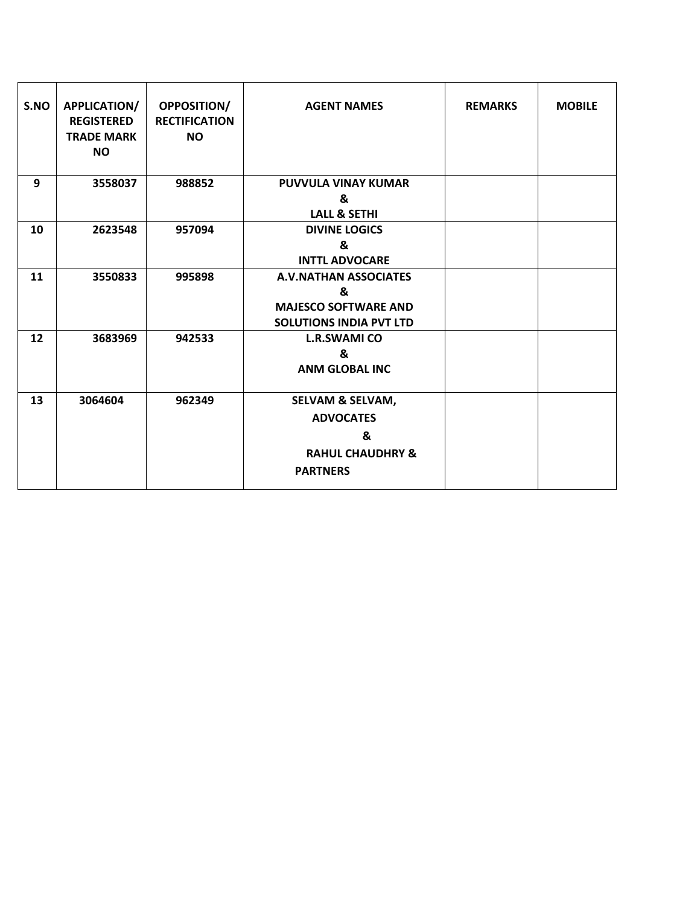| S.NO | APPLICATION/<br><b>REGISTERED</b><br><b>TRADE MARK</b><br><b>NO</b> | <b>OPPOSITION/</b><br><b>RECTIFICATION</b><br><b>NO</b> | <b>AGENT NAMES</b>             | <b>REMARKS</b> | <b>MOBILE</b> |
|------|---------------------------------------------------------------------|---------------------------------------------------------|--------------------------------|----------------|---------------|
| 9    | 3558037                                                             | 988852                                                  | <b>PUVVULA VINAY KUMAR</b>     |                |               |
|      |                                                                     |                                                         | &                              |                |               |
|      |                                                                     |                                                         | <b>LALL &amp; SETHI</b>        |                |               |
| 10   | 2623548                                                             | 957094                                                  | <b>DIVINE LOGICS</b>           |                |               |
|      |                                                                     |                                                         | &                              |                |               |
|      |                                                                     |                                                         | <b>INTTL ADVOCARE</b>          |                |               |
| 11   | 3550833                                                             | 995898                                                  | <b>A.V.NATHAN ASSOCIATES</b>   |                |               |
|      |                                                                     |                                                         | &                              |                |               |
|      |                                                                     |                                                         | <b>MAJESCO SOFTWARE AND</b>    |                |               |
|      |                                                                     |                                                         | <b>SOLUTIONS INDIA PVT LTD</b> |                |               |
| 12   | 3683969                                                             | 942533                                                  | <b>L.R.SWAMI CO</b>            |                |               |
|      |                                                                     |                                                         | &                              |                |               |
|      |                                                                     |                                                         | <b>ANM GLOBAL INC</b>          |                |               |
|      |                                                                     |                                                         |                                |                |               |
| 13   | 3064604                                                             | 962349                                                  | <b>SELVAM &amp; SELVAM,</b>    |                |               |
|      |                                                                     |                                                         | <b>ADVOCATES</b>               |                |               |
|      |                                                                     |                                                         | &                              |                |               |
|      |                                                                     |                                                         | <b>RAHUL CHAUDHRY &amp;</b>    |                |               |
|      |                                                                     |                                                         |                                |                |               |
|      |                                                                     |                                                         | <b>PARTNERS</b>                |                |               |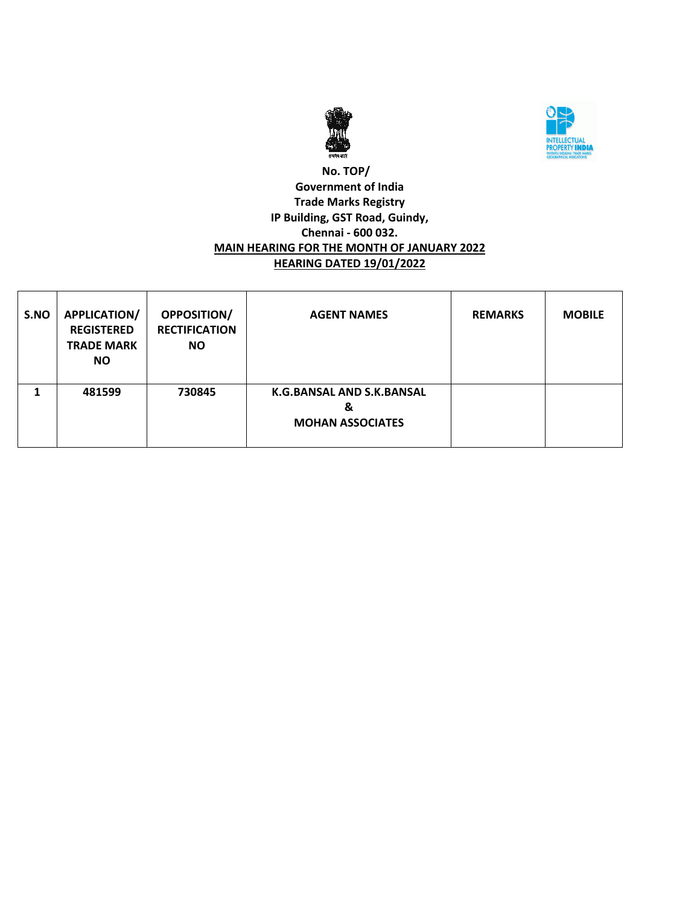



### **No. TOP/ Government of India Trade Marks Registry IP Building, GST Road, Guindy, Chennai - 600 032. MAIN HEARING FOR THE MONTH OF JANUARY 2022 HEARING DATED 19/01/2022**

| S.NO | <b>APPLICATION/</b><br><b>REGISTERED</b><br><b>TRADE MARK</b><br>NO. | <b>OPPOSITION/</b><br><b>RECTIFICATION</b><br><b>NO</b> | <b>AGENT NAMES</b>                                        | <b>REMARKS</b> | <b>MOBILE</b> |
|------|----------------------------------------------------------------------|---------------------------------------------------------|-----------------------------------------------------------|----------------|---------------|
|      | 481599                                                               | 730845                                                  | K.G.BANSAL AND S.K.BANSAL<br>&<br><b>MOHAN ASSOCIATES</b> |                |               |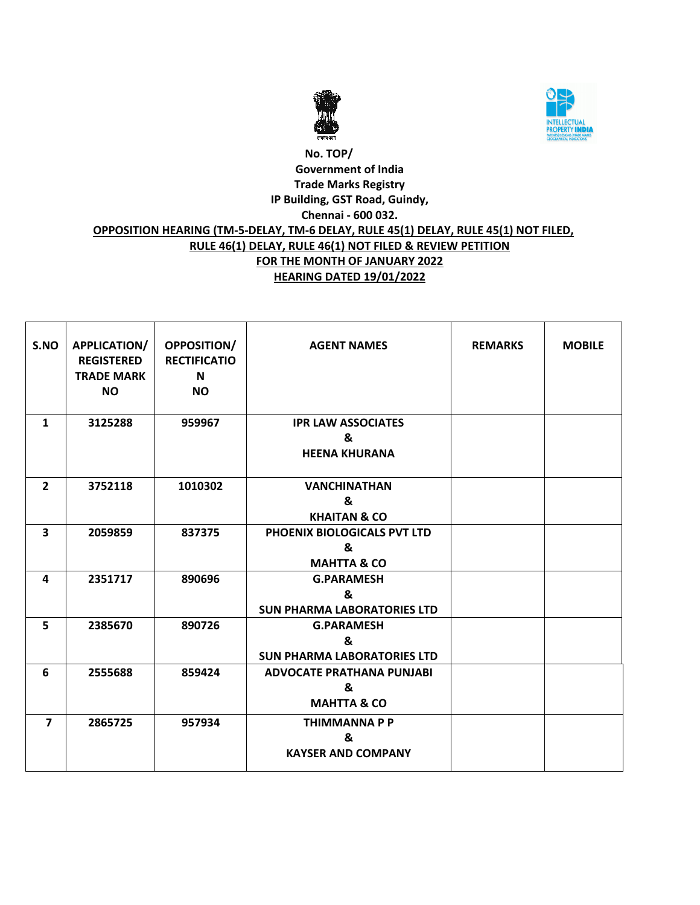



# **No. TOP/ Government of India Trade Marks Registry IP Building, GST Road, Guindy, Chennai - 600 032. OPPOSITION HEARING (TM-5-DELAY, TM-6 DELAY, RULE 45(1) DELAY, RULE 45(1) NOT FILED, RULE 46(1) DELAY, RULE 46(1) NOT FILED & REVIEW PETITION FOR THE MONTH OF JANUARY 2022 HEARING DATED 19/01/2022**

| S.NO                    | APPLICATION/<br><b>REGISTERED</b><br><b>TRADE MARK</b><br><b>NO</b> | OPPOSITION/<br><b>RECTIFICATIO</b><br>N<br><b>NO</b> | <b>AGENT NAMES</b>                                              | <b>REMARKS</b> | <b>MOBILE</b> |
|-------------------------|---------------------------------------------------------------------|------------------------------------------------------|-----------------------------------------------------------------|----------------|---------------|
| $\mathbf{1}$            | 3125288                                                             | 959967                                               | <b>IPR LAW ASSOCIATES</b><br>&<br><b>HEENA KHURANA</b>          |                |               |
| $\overline{2}$          | 3752118                                                             | 1010302                                              | <b>VANCHINATHAN</b><br>&<br><b>KHAITAN &amp; CO</b>             |                |               |
| $\overline{\mathbf{3}}$ | 2059859                                                             | 837375                                               | PHOENIX BIOLOGICALS PVT LTD<br>&<br><b>MAHTTA &amp; CO</b>      |                |               |
| 4                       | 2351717                                                             | 890696                                               | <b>G.PARAMESH</b><br>&<br><b>SUN PHARMA LABORATORIES LTD</b>    |                |               |
| 5                       | 2385670                                                             | 890726                                               | <b>G.PARAMESH</b><br>&<br><b>SUN PHARMA LABORATORIES LTD</b>    |                |               |
| 6                       | 2555688                                                             | 859424                                               | <b>ADVOCATE PRATHANA PUNJABI</b><br>&<br><b>MAHTTA &amp; CO</b> |                |               |
| $\overline{\mathbf{z}}$ | 2865725                                                             | 957934                                               | <b>THIMMANNA P P</b><br>&<br><b>KAYSER AND COMPANY</b>          |                |               |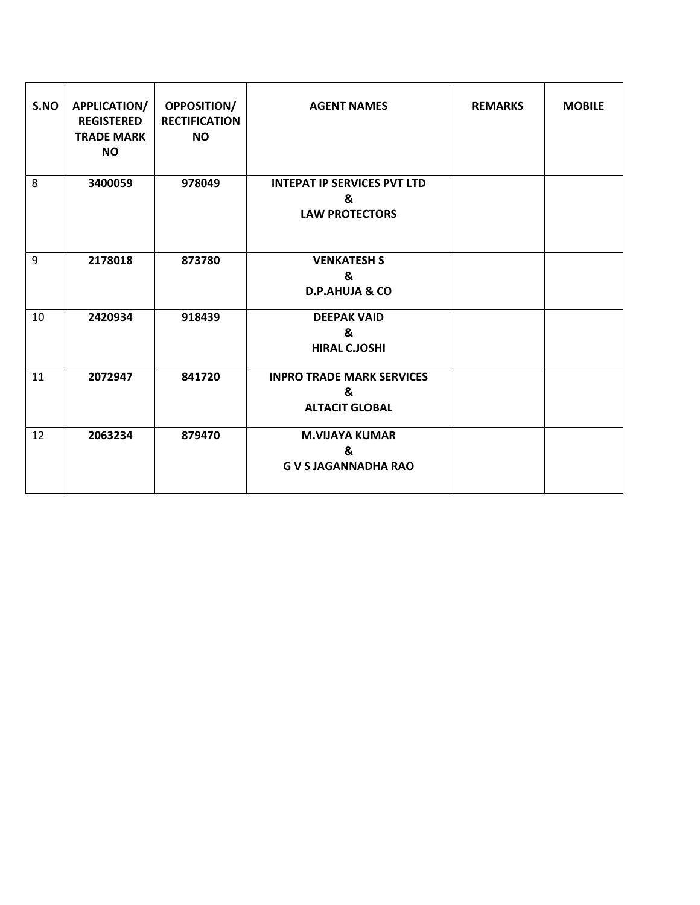| S.NO | APPLICATION/<br><b>REGISTERED</b><br><b>TRADE MARK</b><br><b>NO</b> | OPPOSITION/<br><b>RECTIFICATION</b><br><b>NO</b> | <b>AGENT NAMES</b>                                               | <b>REMARKS</b> | <b>MOBILE</b> |
|------|---------------------------------------------------------------------|--------------------------------------------------|------------------------------------------------------------------|----------------|---------------|
| 8    | 3400059                                                             | 978049                                           | <b>INTEPAT IP SERVICES PVT LTD</b><br>&<br><b>LAW PROTECTORS</b> |                |               |
| 9    | 2178018                                                             | 873780                                           | <b>VENKATESH S</b><br>&<br><b>D.P.AHUJA &amp; CO</b>             |                |               |
| 10   | 2420934                                                             | 918439                                           | <b>DEEPAK VAID</b><br>&<br><b>HIRAL C.JOSHI</b>                  |                |               |
| 11   | 2072947                                                             | 841720                                           | <b>INPRO TRADE MARK SERVICES</b><br>&<br><b>ALTACIT GLOBAL</b>   |                |               |
| 12   | 2063234                                                             | 879470                                           | <b>M.VIJAYA KUMAR</b><br>&<br><b>GVSJAGANNADHA RAO</b>           |                |               |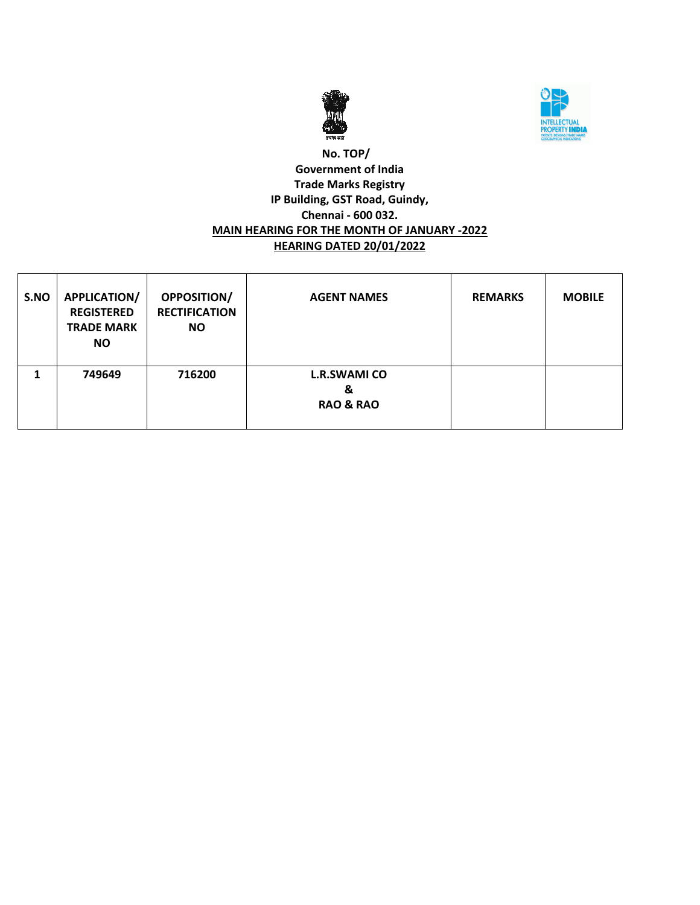



### **No. TOP/ Government of India Trade Marks Registry IP Building, GST Road, Guindy, Chennai - 600 032. MAIN HEARING FOR THE MONTH OF JANUARY -2022 HEARING DATED 20/01/2022**

| S.NO | <b>APPLICATION/</b><br><b>REGISTERED</b><br><b>TRADE MARK</b><br>NO. | <b>OPPOSITION/</b><br><b>RECTIFICATION</b><br><b>NO</b> | <b>AGENT NAMES</b>                               | <b>REMARKS</b> | <b>MOBILE</b> |
|------|----------------------------------------------------------------------|---------------------------------------------------------|--------------------------------------------------|----------------|---------------|
|      | 749649                                                               | 716200                                                  | <b>L.R.SWAMI CO</b><br>&<br><b>RAO &amp; RAO</b> |                |               |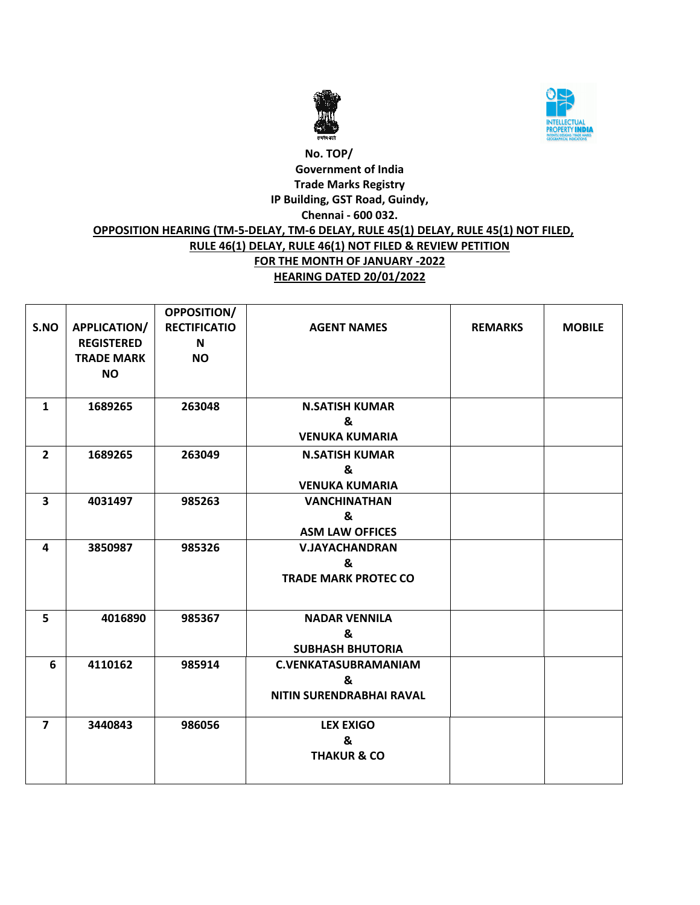



# **No. TOP/ Government of India Trade Marks Registry IP Building, GST Road, Guindy, Chennai - 600 032. OPPOSITION HEARING (TM-5-DELAY, TM-6 DELAY, RULE 45(1) DELAY, RULE 45(1) NOT FILED, RULE 46(1) DELAY, RULE 46(1) NOT FILED & REVIEW PETITION FOR THE MONTH OF JANUARY -2022 HEARING DATED 20/01/2022**

|                         |                   | OPPOSITION/         |                             |                |               |
|-------------------------|-------------------|---------------------|-----------------------------|----------------|---------------|
| S.NO                    | APPLICATION/      | <b>RECTIFICATIO</b> | <b>AGENT NAMES</b>          | <b>REMARKS</b> | <b>MOBILE</b> |
|                         | <b>REGISTERED</b> | N                   |                             |                |               |
|                         | <b>TRADE MARK</b> | <b>NO</b>           |                             |                |               |
|                         | <b>NO</b>         |                     |                             |                |               |
|                         |                   |                     |                             |                |               |
| $\mathbf{1}$            | 1689265           | 263048              | <b>N.SATISH KUMAR</b>       |                |               |
|                         |                   |                     | &                           |                |               |
|                         |                   |                     | <b>VENUKA KUMARIA</b>       |                |               |
| $\overline{2}$          | 1689265           | 263049              | <b>N.SATISH KUMAR</b>       |                |               |
|                         |                   |                     | &                           |                |               |
|                         |                   |                     | <b>VENUKA KUMARIA</b>       |                |               |
| $\overline{\mathbf{3}}$ | 4031497           | 985263              | <b>VANCHINATHAN</b>         |                |               |
|                         |                   |                     | &                           |                |               |
|                         |                   |                     | <b>ASM LAW OFFICES</b>      |                |               |
| 4                       | 3850987           | 985326              | <b>V.JAYACHANDRAN</b>       |                |               |
|                         |                   |                     | &                           |                |               |
|                         |                   |                     | <b>TRADE MARK PROTEC CO</b> |                |               |
|                         |                   |                     |                             |                |               |
| 5                       | 4016890           | 985367              | <b>NADAR VENNILA</b>        |                |               |
|                         |                   |                     | &                           |                |               |
|                         |                   |                     | <b>SUBHASH BHUTORIA</b>     |                |               |
| 6                       | 4110162           | 985914              | <b>C.VENKATASUBRAMANIAM</b> |                |               |
|                         |                   |                     | &                           |                |               |
|                         |                   |                     | NITIN SURENDRABHAI RAVAL    |                |               |
| $\overline{7}$          | 3440843           | 986056              | <b>LEX EXIGO</b>            |                |               |
|                         |                   |                     | &                           |                |               |
|                         |                   |                     | <b>THAKUR &amp; CO</b>      |                |               |
|                         |                   |                     |                             |                |               |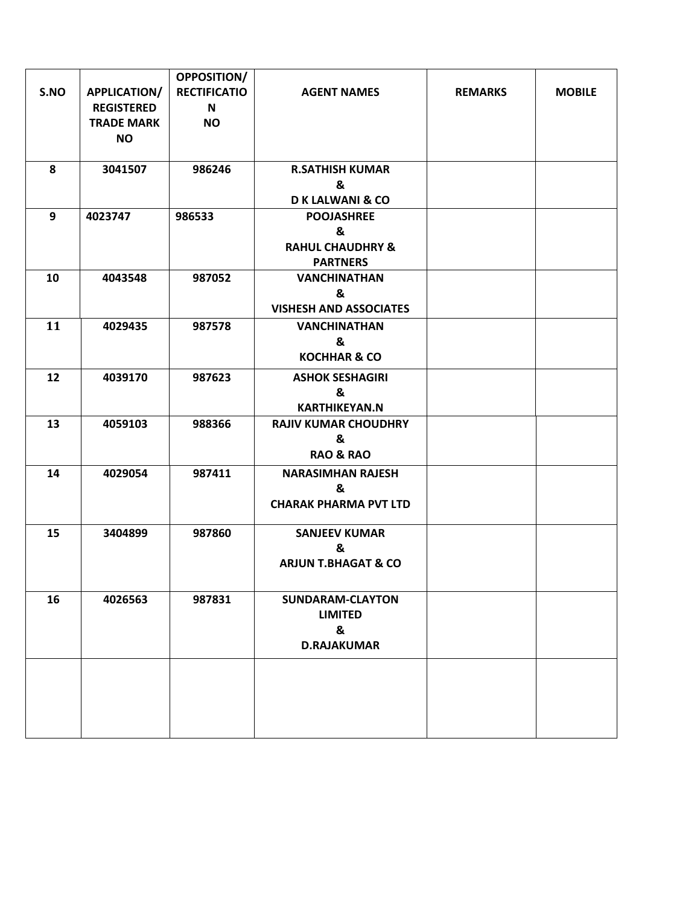|      |                     | <b>OPPOSITION/</b>  |                                |                |               |
|------|---------------------|---------------------|--------------------------------|----------------|---------------|
| S.NO | <b>APPLICATION/</b> | <b>RECTIFICATIO</b> | <b>AGENT NAMES</b>             | <b>REMARKS</b> | <b>MOBILE</b> |
|      | <b>REGISTERED</b>   | N                   |                                |                |               |
|      | <b>TRADE MARK</b>   | <b>NO</b>           |                                |                |               |
|      | <b>NO</b>           |                     |                                |                |               |
|      |                     |                     |                                |                |               |
| 8    | 3041507             | 986246              | <b>R.SATHISH KUMAR</b>         |                |               |
|      |                     |                     | &                              |                |               |
|      |                     |                     | <b>DK LALWANI &amp; CO</b>     |                |               |
| 9    | 4023747             | 986533              | <b>POOJASHREE</b><br>&         |                |               |
|      |                     |                     | <b>RAHUL CHAUDHRY &amp;</b>    |                |               |
|      |                     |                     | <b>PARTNERS</b>                |                |               |
| 10   | 4043548             | 987052              | <b>VANCHINATHAN</b>            |                |               |
|      |                     |                     | &                              |                |               |
|      |                     |                     | <b>VISHESH AND ASSOCIATES</b>  |                |               |
| 11   | 4029435             | 987578              | <b>VANCHINATHAN</b>            |                |               |
|      |                     |                     | &                              |                |               |
|      |                     |                     | <b>KOCHHAR &amp; CO</b>        |                |               |
| 12   | 4039170             | 987623              | <b>ASHOK SESHAGIRI</b>         |                |               |
|      |                     |                     | &                              |                |               |
|      |                     |                     | <b>KARTHIKEYAN.N</b>           |                |               |
| 13   | 4059103             | 988366              | <b>RAJIV KUMAR CHOUDHRY</b>    |                |               |
|      |                     |                     | &                              |                |               |
|      |                     |                     | <b>RAO &amp; RAO</b>           |                |               |
| 14   | 4029054             | 987411              | <b>NARASIMHAN RAJESH</b>       |                |               |
|      |                     |                     | &                              |                |               |
|      |                     |                     | <b>CHARAK PHARMA PVT LTD</b>   |                |               |
| 15   | 3404899             | 987860              | <b>SANJEEV KUMAR</b>           |                |               |
|      |                     |                     | &                              |                |               |
|      |                     |                     | <b>ARJUN T.BHAGAT &amp; CO</b> |                |               |
|      |                     |                     |                                |                |               |
| 16   | 4026563             | 987831              | <b>SUNDARAM-CLAYTON</b>        |                |               |
|      |                     |                     | <b>LIMITED</b>                 |                |               |
|      |                     |                     | &                              |                |               |
|      |                     |                     | <b>D.RAJAKUMAR</b>             |                |               |
|      |                     |                     |                                |                |               |
|      |                     |                     |                                |                |               |
|      |                     |                     |                                |                |               |
|      |                     |                     |                                |                |               |
|      |                     |                     |                                |                |               |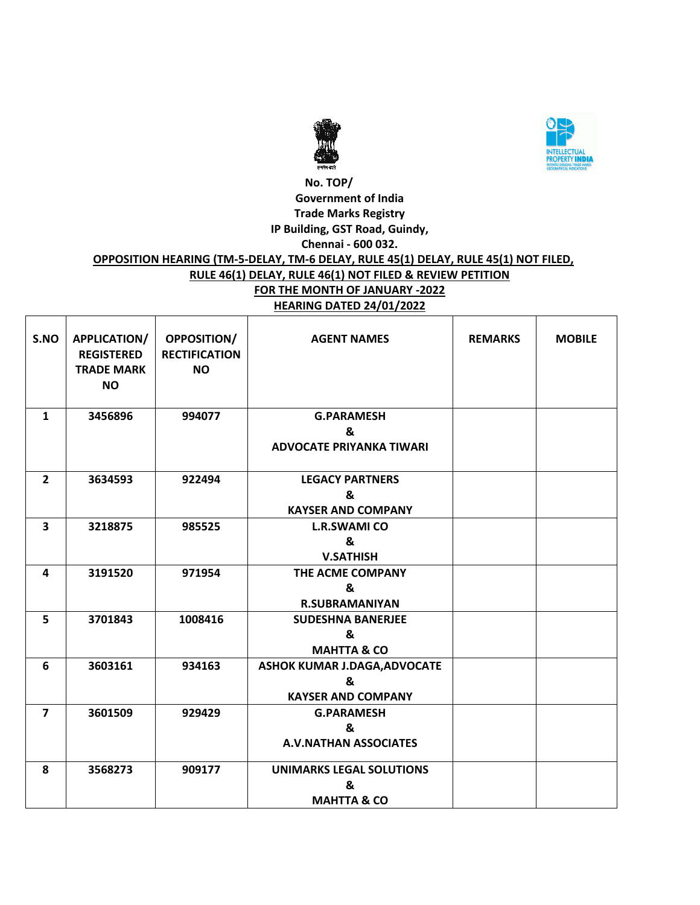



### **No. TOP/ Government of India Trade Marks Registry IP Building, GST Road, Guindy, Chennai - 600 032. OPPOSITION HEARING (TM-5-DELAY, TM-6 DELAY, RULE 45(1) DELAY, RULE 45(1) NOT FILED, RULE 46(1) DELAY, RULE 46(1) NOT FILED & REVIEW PETITION FOR THE MONTH OF JANUARY -2022 HEARING DATED 24/01/2022**

| S.NO                    | <b>APPLICATION/</b><br><b>REGISTERED</b><br><b>TRADE MARK</b><br><b>NO</b> | <b>OPPOSITION/</b><br><b>RECTIFICATION</b><br><b>NO</b> | <b>AGENT NAMES</b>              | <b>REMARKS</b> | <b>MOBILE</b> |
|-------------------------|----------------------------------------------------------------------------|---------------------------------------------------------|---------------------------------|----------------|---------------|
| $\mathbf{1}$            | 3456896                                                                    | 994077                                                  | <b>G.PARAMESH</b><br>&          |                |               |
|                         |                                                                            |                                                         | <b>ADVOCATE PRIYANKA TIWARI</b> |                |               |
| $\overline{2}$          | 3634593                                                                    | 922494                                                  | <b>LEGACY PARTNERS</b>          |                |               |
|                         |                                                                            |                                                         | &                               |                |               |
|                         |                                                                            |                                                         | <b>KAYSER AND COMPANY</b>       |                |               |
| $\overline{\mathbf{3}}$ | 3218875                                                                    | 985525                                                  | <b>L.R.SWAMI CO</b>             |                |               |
|                         |                                                                            |                                                         | &                               |                |               |
|                         |                                                                            |                                                         | <b>V.SATHISH</b>                |                |               |
| 4                       | 3191520                                                                    | 971954                                                  | THE ACME COMPANY                |                |               |
|                         |                                                                            |                                                         | &                               |                |               |
|                         |                                                                            |                                                         | <b>R.SUBRAMANIYAN</b>           |                |               |
| 5                       | 3701843                                                                    | 1008416                                                 | <b>SUDESHNA BANERJEE</b>        |                |               |
|                         |                                                                            |                                                         | &                               |                |               |
|                         |                                                                            |                                                         | <b>MAHTTA &amp; CO</b>          |                |               |
| 6                       | 3603161                                                                    | 934163                                                  | ASHOK KUMAR J.DAGA, ADVOCATE    |                |               |
|                         |                                                                            |                                                         | &                               |                |               |
|                         |                                                                            |                                                         | <b>KAYSER AND COMPANY</b>       |                |               |
| $\overline{7}$          | 3601509                                                                    | 929429                                                  | <b>G.PARAMESH</b>               |                |               |
|                         |                                                                            |                                                         | &                               |                |               |
|                         |                                                                            |                                                         | <b>A.V.NATHAN ASSOCIATES</b>    |                |               |
| 8                       | 3568273                                                                    | 909177                                                  | <b>UNIMARKS LEGAL SOLUTIONS</b> |                |               |
|                         |                                                                            |                                                         | &                               |                |               |
|                         |                                                                            |                                                         | <b>MAHTTA &amp; CO</b>          |                |               |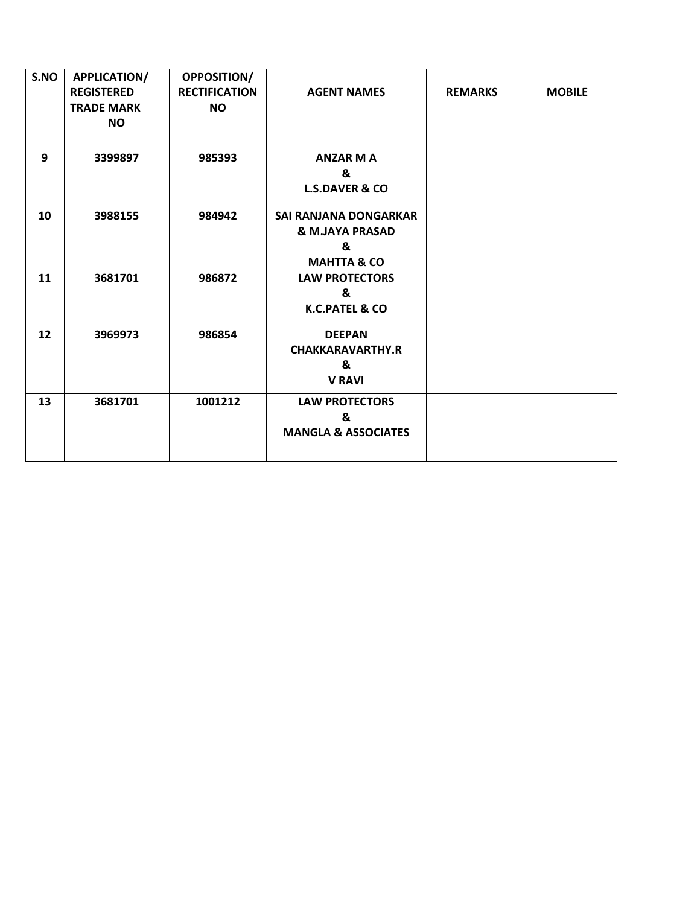| S.NO | <b>APPLICATION/</b><br><b>REGISTERED</b><br><b>TRADE MARK</b><br><b>NO</b> | OPPOSITION/<br><b>RECTIFICATION</b><br><b>NO</b> | <b>AGENT NAMES</b>                                                      | <b>REMARKS</b> | <b>MOBILE</b> |
|------|----------------------------------------------------------------------------|--------------------------------------------------|-------------------------------------------------------------------------|----------------|---------------|
| 9    | 3399897                                                                    | 985393                                           | <b>ANZAR M A</b><br>&<br><b>L.S.DAVER &amp; CO</b>                      |                |               |
| 10   | 3988155                                                                    | 984942                                           | SAI RANJANA DONGARKAR<br>& M.JAYA PRASAD<br>&<br><b>MAHTTA &amp; CO</b> |                |               |
| 11   | 3681701                                                                    | 986872                                           | <b>LAW PROTECTORS</b><br>&<br>K.C.PATEL & CO                            |                |               |
| 12   | 3969973                                                                    | 986854                                           | <b>DEEPAN</b><br><b>CHAKKARAVARTHY.R</b><br>&<br><b>V RAVI</b>          |                |               |
| 13   | 3681701                                                                    | 1001212                                          | <b>LAW PROTECTORS</b><br>&<br><b>MANGLA &amp; ASSOCIATES</b>            |                |               |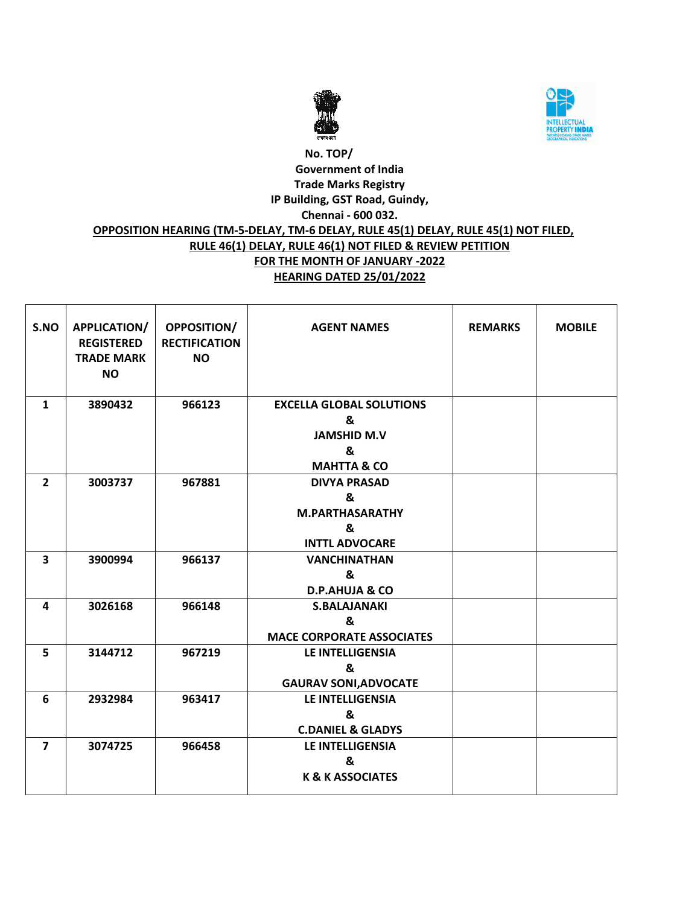



# **No. TOP/ Government of India Trade Marks Registry IP Building, GST Road, Guindy, Chennai - 600 032. OPPOSITION HEARING (TM-5-DELAY, TM-6 DELAY, RULE 45(1) DELAY, RULE 45(1) NOT FILED, RULE 46(1) DELAY, RULE 46(1) NOT FILED & REVIEW PETITION FOR THE MONTH OF JANUARY -2022 HEARING DATED 25/01/2022**

| S.NO                    | APPLICATION/<br><b>REGISTERED</b><br><b>TRADE MARK</b><br><b>NO</b> | <b>OPPOSITION/</b><br><b>RECTIFICATION</b><br><b>NO</b> | <b>AGENT NAMES</b>                                                                        | <b>REMARKS</b> | <b>MOBILE</b> |
|-------------------------|---------------------------------------------------------------------|---------------------------------------------------------|-------------------------------------------------------------------------------------------|----------------|---------------|
| 1                       | 3890432                                                             | 966123                                                  | <b>EXCELLA GLOBAL SOLUTIONS</b><br>&<br><b>JAMSHID M.V</b><br>&<br><b>MAHTTA &amp; CO</b> |                |               |
| $\overline{2}$          | 3003737                                                             | 967881                                                  | <b>DIVYA PRASAD</b><br>&<br><b>M.PARTHASARATHY</b><br>&<br><b>INTTL ADVOCARE</b>          |                |               |
| $\overline{\mathbf{3}}$ | 3900994                                                             | 966137                                                  | <b>VANCHINATHAN</b><br>&<br><b>D.P.AHUJA &amp; CO</b>                                     |                |               |
| 4                       | 3026168                                                             | 966148                                                  | <b>S.BALAJANAKI</b><br>&<br><b>MACE CORPORATE ASSOCIATES</b>                              |                |               |
| 5                       | 3144712                                                             | 967219                                                  | <b>LE INTELLIGENSIA</b><br>&<br><b>GAURAV SONI, ADVOCATE</b>                              |                |               |
| 6                       | 2932984                                                             | 963417                                                  | <b>LE INTELLIGENSIA</b><br>&<br><b>C.DANIEL &amp; GLADYS</b>                              |                |               |
| $\overline{7}$          | 3074725                                                             | 966458                                                  | LE INTELLIGENSIA<br>&<br><b>K &amp; K ASSOCIATES</b>                                      |                |               |